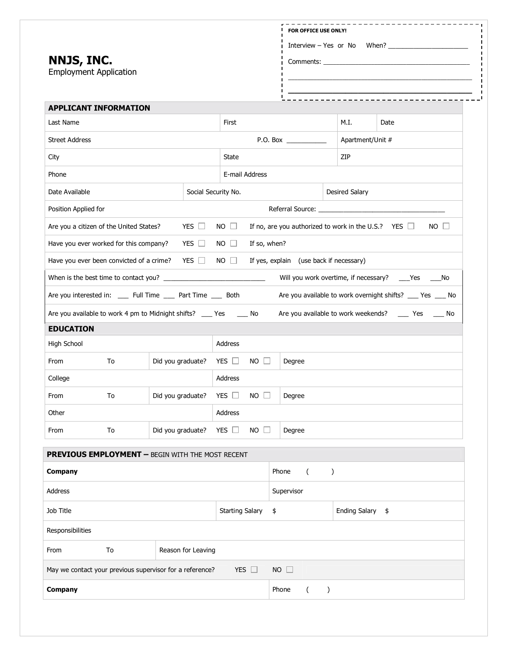| NNJS, INC. |
|------------|
|------------|

| NNJS, INC.<br><b>Employment Application</b> |                     |              | FOR OFFICE USE ONLY!                       |     |                       | Interview - Yes or No When?<br>Comments: Executive Comments: Executive Comments: |  |
|---------------------------------------------|---------------------|--------------|--------------------------------------------|-----|-----------------------|----------------------------------------------------------------------------------|--|
| <b>APPLICANT INFORMATION</b>                |                     |              |                                            |     |                       |                                                                                  |  |
| First<br>Last Name                          |                     |              |                                            |     | M.I.                  | Date                                                                             |  |
| <b>Street Address</b>                       |                     |              | Apartment/Unit #<br>P.O. Box _____________ |     |                       |                                                                                  |  |
| City                                        |                     | <b>State</b> |                                            | ZIP |                       |                                                                                  |  |
| E-mail Address<br>Phone                     |                     |              |                                            |     |                       |                                                                                  |  |
| Date Available                              | Social Security No. |              |                                            |     | <b>Desired Salary</b> |                                                                                  |  |

| Are you a citizen of the United States?      |  | YES $\Box$ NO $\Box$ If no, are you authorized to work in the U.S.? YES $\Box$ | $NO$ $\vert$ . |
|----------------------------------------------|--|--------------------------------------------------------------------------------|----------------|
| Have you ever worked for this company? $YES$ |  | $NO \Box$ If so, when?                                                         |                |

| Have you ever been convicted of a crime? YES $\Box$ NO $\Box$ If yes, explain (use back if necessary) |  |  |
|-------------------------------------------------------------------------------------------------------|--|--|
|                                                                                                       |  |  |

Position Applied for Referral Source: \_\_\_\_\_\_\_\_\_\_\_\_\_\_\_\_\_\_\_\_\_\_\_\_\_\_\_\_\_\_\_\_\_\_\_

| When is the best time to contact you?                               | Will you work overtime, if necessary?<br><b>Press</b><br>- No |
|---------------------------------------------------------------------|---------------------------------------------------------------|
| Are you interested in:<br>Both<br>Full Time Part Time               | Are you available to work overnight shifts? Yes No            |
| Are you available to work 4 pm to Midnight shifts? _____ Yes<br>No. | Are you available to work weekends?<br>No.<br>Yes             |

#### **EDUCATION**

| <b>EDUCATION</b> |    |                                        |            |             |        |
|------------------|----|----------------------------------------|------------|-------------|--------|
| High School      |    |                                        | Address    |             |        |
| From             | To | Did you graduate? YES $\Box$ NO $\Box$ |            |             | Degree |
| College          |    |                                        | Address    |             |        |
| From             | To | Did you graduate?                      | YES $\Box$ | $NO$ $\Box$ | Degree |
| Other            |    |                                        | Address    |             |        |
| From             | To | Did you graduate?                      | YES $\Box$ | NO.         | Degree |

| <b>PREVIOUS EMPLOYMENT - BEGIN WITH THE MOST RECENT</b>                               |    |                    |                    |            |  |                  |
|---------------------------------------------------------------------------------------|----|--------------------|--------------------|------------|--|------------------|
| Phone<br>Company                                                                      |    |                    |                    |            |  |                  |
| Address                                                                               |    |                    |                    | Supervisor |  |                  |
| Job Title                                                                             |    |                    | Starting Salary \$ |            |  | Ending Salary \$ |
| Responsibilities                                                                      |    |                    |                    |            |  |                  |
| From                                                                                  | To | Reason for Leaving |                    |            |  |                  |
| $NO$ $\Box$<br>YES $\Box$<br>May we contact your previous supervisor for a reference? |    |                    |                    |            |  |                  |
| Company                                                                               |    |                    |                    | Phone      |  |                  |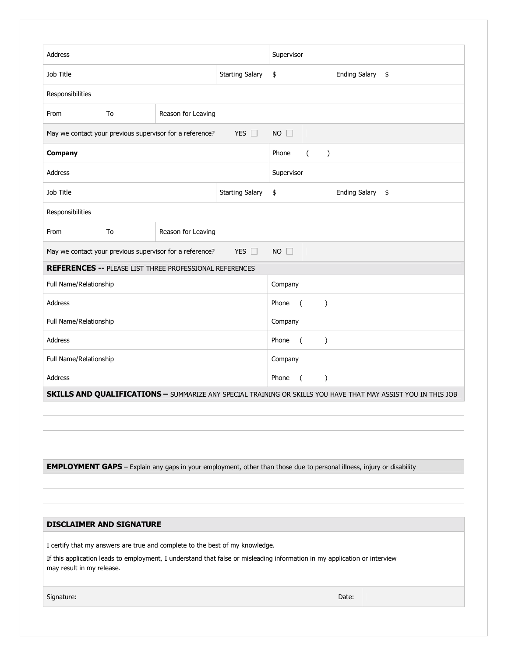| Address                                                                                                                                                                                                   |                           |                                                                | Supervisor             |                                      |                                                                                                                              |  |  |
|-----------------------------------------------------------------------------------------------------------------------------------------------------------------------------------------------------------|---------------------------|----------------------------------------------------------------|------------------------|--------------------------------------|------------------------------------------------------------------------------------------------------------------------------|--|--|
| Job Title                                                                                                                                                                                                 |                           |                                                                | <b>Starting Salary</b> | \$                                   | <b>Ending Salary</b><br>\$                                                                                                   |  |  |
| Responsibilities                                                                                                                                                                                          |                           |                                                                |                        |                                      |                                                                                                                              |  |  |
| From                                                                                                                                                                                                      | To                        | Reason for Leaving                                             |                        |                                      |                                                                                                                              |  |  |
|                                                                                                                                                                                                           |                           | May we contact your previous supervisor for a reference?       | $YES$ $\Box$           | $NO$ $\square$                       |                                                                                                                              |  |  |
| Company                                                                                                                                                                                                   |                           |                                                                |                        | Phone<br>$\mathcal{C}$<br>(          |                                                                                                                              |  |  |
| Address                                                                                                                                                                                                   |                           |                                                                |                        | Supervisor                           |                                                                                                                              |  |  |
| Job Title                                                                                                                                                                                                 |                           |                                                                | <b>Starting Salary</b> | \$                                   | <b>Ending Salary</b><br>\$                                                                                                   |  |  |
| Responsibilities                                                                                                                                                                                          |                           |                                                                |                        |                                      |                                                                                                                              |  |  |
| From                                                                                                                                                                                                      | To                        | Reason for Leaving                                             |                        |                                      |                                                                                                                              |  |  |
|                                                                                                                                                                                                           |                           | May we contact your previous supervisor for a reference?       | YES $\Box$             | $NO$ $\Box$                          |                                                                                                                              |  |  |
|                                                                                                                                                                                                           |                           | <b>REFERENCES -- PLEASE LIST THREE PROFESSIONAL REFERENCES</b> |                        |                                      |                                                                                                                              |  |  |
| Full Name/Relationship                                                                                                                                                                                    |                           |                                                                |                        | Company                              |                                                                                                                              |  |  |
| Address                                                                                                                                                                                                   |                           |                                                                |                        | Phone<br>$\left($<br>$\lambda$       |                                                                                                                              |  |  |
| Full Name/Relationship                                                                                                                                                                                    |                           |                                                                |                        | Company                              |                                                                                                                              |  |  |
| Address                                                                                                                                                                                                   |                           |                                                                |                        | Phone<br>$\overline{ }$<br>$\lambda$ |                                                                                                                              |  |  |
| Full Name/Relationship                                                                                                                                                                                    |                           |                                                                | Company                |                                      |                                                                                                                              |  |  |
| Address<br>Phone<br>(<br>$\lambda$                                                                                                                                                                        |                           |                                                                |                        |                                      |                                                                                                                              |  |  |
| <b>SKILLS AND QUALIFICATIONS - SUMMARIZE ANY SPECIAL TRAINING OR SKILLS YOU HAVE THAT MAY ASSIST YOU IN THIS JOB</b>                                                                                      |                           |                                                                |                        |                                      |                                                                                                                              |  |  |
|                                                                                                                                                                                                           |                           |                                                                |                        |                                      |                                                                                                                              |  |  |
|                                                                                                                                                                                                           |                           |                                                                |                        |                                      |                                                                                                                              |  |  |
|                                                                                                                                                                                                           |                           |                                                                |                        |                                      |                                                                                                                              |  |  |
|                                                                                                                                                                                                           |                           |                                                                |                        |                                      | <b>EMPLOYMENT GAPS</b> - Explain any gaps in your employment, other than those due to personal illness, injury or disability |  |  |
|                                                                                                                                                                                                           |                           |                                                                |                        |                                      |                                                                                                                              |  |  |
|                                                                                                                                                                                                           |                           |                                                                |                        |                                      |                                                                                                                              |  |  |
| <b>DISCLAIMER AND SIGNATURE</b>                                                                                                                                                                           |                           |                                                                |                        |                                      |                                                                                                                              |  |  |
|                                                                                                                                                                                                           |                           |                                                                |                        |                                      |                                                                                                                              |  |  |
| I certify that my answers are true and complete to the best of my knowledge.<br>If this application leads to employment, I understand that false or misleading information in my application or interview |                           |                                                                |                        |                                      |                                                                                                                              |  |  |
|                                                                                                                                                                                                           | may result in my release. |                                                                |                        |                                      |                                                                                                                              |  |  |
|                                                                                                                                                                                                           |                           |                                                                |                        |                                      |                                                                                                                              |  |  |

Signature: Date: Date: Date: Date: Date: Date: Date: Date: Date: Date: Date: Date: Date: Date: Date: Date: Date: Date: Date: Date: Date: Date: Date: Date: Date: Date: Date: Date: Date: Date: Date: Date: Date: Date: Date: D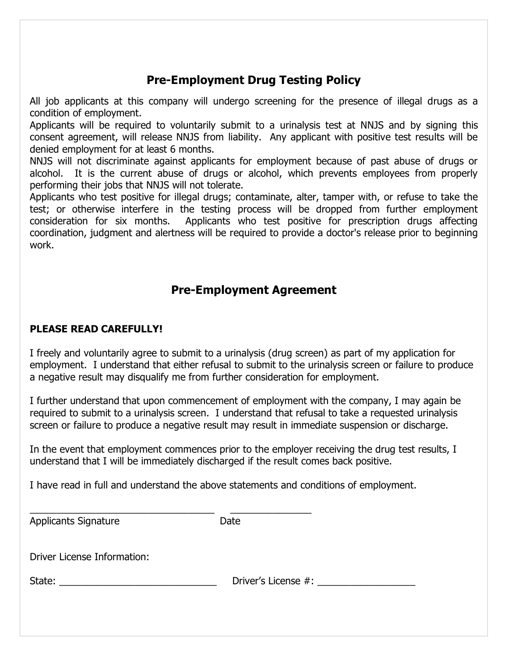# **Pre-Employment Drug Testing Policy**

All job applicants at this company will undergo screening for the presence of illegal drugs as a condition of employment.

Applicants will be required to voluntarily submit to a urinalysis test at NNJS and by signing this consent agreement, will release NNJS from liability. Any applicant with positive test results will be denied employment for at least 6 months.

NNJS will not discriminate against applicants for employment because of past abuse of drugs or alcohol. It is the current abuse of drugs or alcohol, which prevents employees from properly performing their jobs that NNJS will not tolerate.

Applicants who test positive for illegal drugs; contaminate, alter, tamper with, or refuse to take the test; or otherwise interfere in the testing process will be dropped from further employment consideration for six months. Applicants who test positive for prescription drugs affecting coordination, judgment and alertness will be required to provide a doctor's release prior to beginning work.

# **Pre-Employment Agreement**

### **PLEASE READ CAREFULLY!**

I freely and voluntarily agree to submit to a urinalysis (drug screen) as part of my application for employment. I understand that either refusal to submit to the urinalysis screen or failure to produce a negative result may disqualify me from further consideration for employment.

I further understand that upon commencement of employment with the company, I may again be required to submit to a urinalysis screen. I understand that refusal to take a requested urinalysis screen or failure to produce a negative result may result in immediate suspension or discharge.

In the event that employment commences prior to the employer receiving the drug test results, I understand that I will be immediately discharged if the result comes back positive.

I have read in full and understand the above statements and conditions of employment.

| <b>Applicants Signature</b> | Date                |
|-----------------------------|---------------------|
| Driver License Information: |                     |
|                             | Driver's License #: |
|                             |                     |